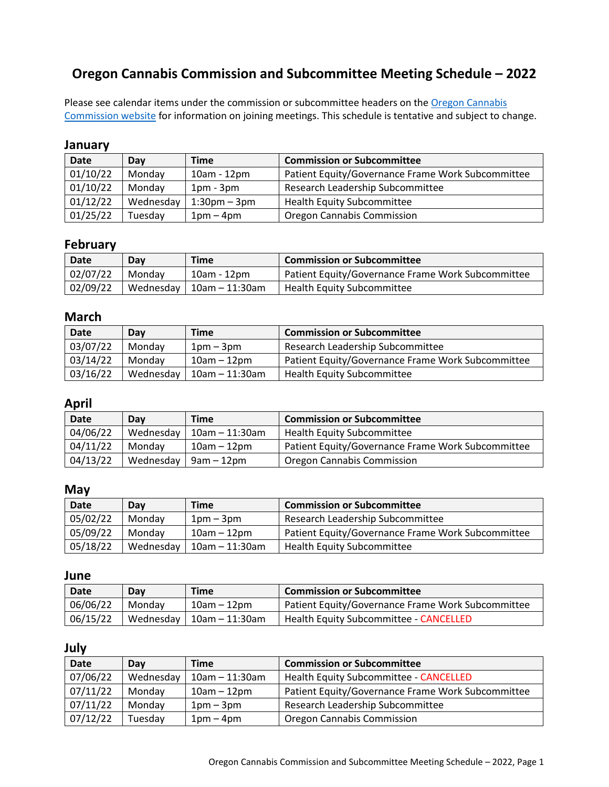# **Oregon Cannabis Commission and Subcommittee Meeting Schedule – 2022**

Please see calendar items under the commission or subcommittee headers on the Oregon Cannabis [Commission website](https://www.oregon.gov/oha/PH/DISEASESCONDITIONS/CHRONICDISEASE/MEDICALMARIJUANAPROGRAM/Pages/Cannabis-Commission.aspx) for information on joining meetings. This schedule is tentative and subject to change.

#### **January**

| <b>Date</b> | Day       | <b>Time</b>        | <b>Commission or Subcommittee</b>                 |
|-------------|-----------|--------------------|---------------------------------------------------|
| 01/10/22    | Monday    | 10am - 12pm        | Patient Equity/Governance Frame Work Subcommittee |
| 01/10/22    | Monday    | $1pm - 3pm$        | Research Leadership Subcommittee                  |
| 01/12/22    | Wednesday | $1:30$ pm – $3$ pm | <b>Health Equity Subcommittee</b>                 |
| 01/25/22    | Tuesday   | $1pm-4pm$          | <b>Oregon Cannabis Commission</b>                 |

### **February**

| Date     | Dav    | Time                          | <b>Commission or Subcommittee</b>                 |
|----------|--------|-------------------------------|---------------------------------------------------|
| 02/07/22 | Mondav | 10am - 12pm                   | Patient Equity/Governance Frame Work Subcommittee |
| 02/09/22 |        | Wednesday   $10$ am - 11:30am | <b>Health Equity Subcommittee</b>                 |

## **March**

| <b>Date</b> | Dav       | Time              | <b>Commission or Subcommittee</b>                 |
|-------------|-----------|-------------------|---------------------------------------------------|
| 03/07/22    | Mondav    | $1$ pm – $3$ pm   | Research Leadership Subcommittee                  |
| 03/14/22    | Mondav    | 10am – 12pm       | Patient Equity/Governance Frame Work Subcommittee |
| 03/16/22    | Wednesday | $10$ am – 11:30am | <b>Health Equity Subcommittee</b>                 |

### **April**

| <b>Date</b> | Dav       | <b>Time</b>       | <b>Commission or Subcommittee</b>                 |
|-------------|-----------|-------------------|---------------------------------------------------|
| 04/06/22    | Wednesday | $10$ am - 11:30am | <b>Health Equity Subcommittee</b>                 |
| 04/11/22    | Mondav    | $10$ am – $12$ pm | Patient Equity/Governance Frame Work Subcommittee |
| 04/13/22    | Wednesday | 9am – 12pm        | Oregon Cannabis Commission                        |

### **May**

| <b>Date</b> | Dav       | <b>Time</b>       | <b>Commission or Subcommittee</b>                 |
|-------------|-----------|-------------------|---------------------------------------------------|
| 05/02/22    | Mondav    | $1$ pm – $3$ pm   | Research Leadership Subcommittee                  |
| 05/09/22    | Mondav    | $10am - 12pm$     | Patient Equity/Governance Frame Work Subcommittee |
| 05/18/22    | Wednesday | $10$ am - 11:30am | <b>Health Equity Subcommittee</b>                 |

### **June**

| Date     | Day       | <b>Time</b>    | <b>Commission or Subcommittee</b>                 |
|----------|-----------|----------------|---------------------------------------------------|
| 06/06/22 | Mondav    | $10am - 12pm$  | Patient Equity/Governance Frame Work Subcommittee |
| 06/15/22 | Wednesday | 10am – 11:30am | Health Equity Subcommittee - CANCELLED            |

#### **July**

| <b>Date</b> | Dav       | <b>Time</b>          | <b>Commission or Subcommittee</b>                 |
|-------------|-----------|----------------------|---------------------------------------------------|
| 07/06/22    | Wednesday | $10$ am $- 11:30$ am | <b>Health Equity Subcommittee - CANCELLED</b>     |
| 07/11/22    | Monday    | $10am - 12pm$        | Patient Equity/Governance Frame Work Subcommittee |
| 07/11/22    | Monday    | $1pm-3pm$            | Research Leadership Subcommittee                  |
| 07/12/22    | Tuesday   | $1pm-4pm$            | Oregon Cannabis Commission                        |